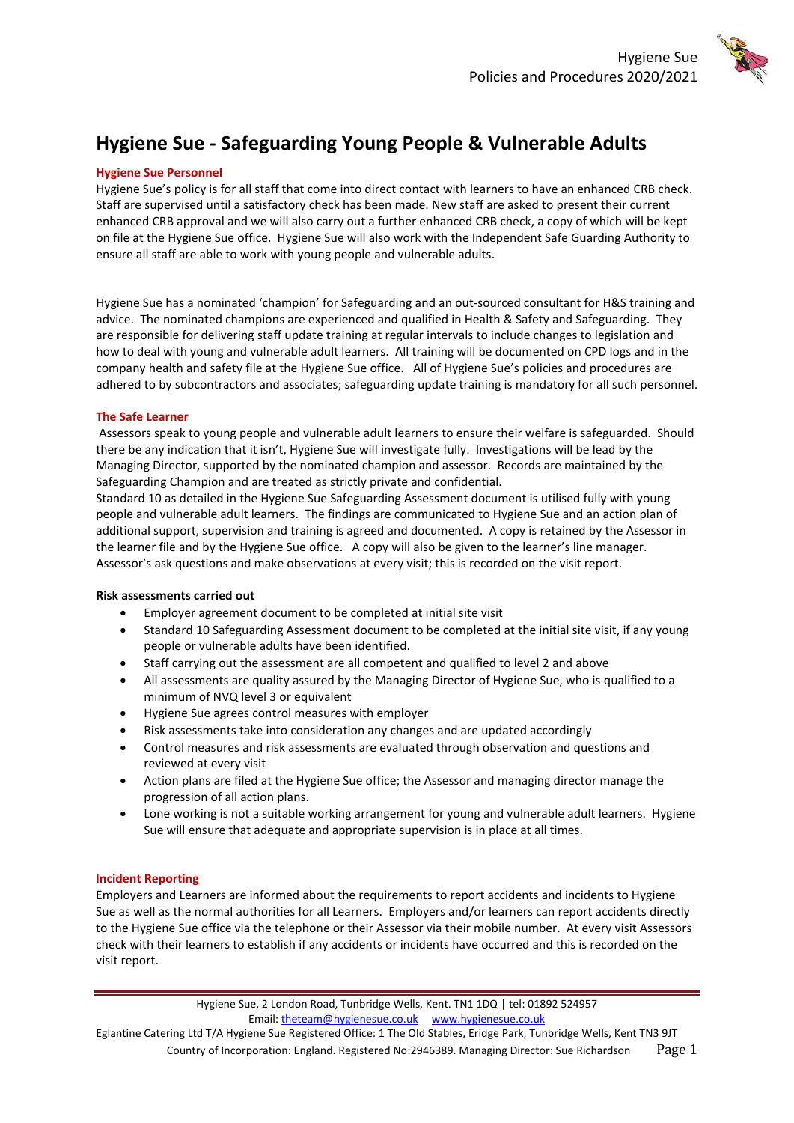

# **Hygiene Sue - Safeguarding Young People & Vulnerable Adults**

## **Hygiene Sue Personnel**

Hygiene Sue's policy is for all staff that come into direct contact with learners to have an enhanced CRB check. Staff are supervised until a satisfactory check has been made. New staff are asked to present their current enhanced CRB approval and we will also carry out a further enhanced CRB check, a copy of which will be kept on file at the Hygiene Sue office. Hygiene Sue will also work with the Independent Safe Guarding Authority to ensure all staff are able to work with young people and vulnerable adults.

Hygiene Sue has a nominated 'champion' for Safeguarding and an out-sourced consultant for H&S training and advice. The nominated champions are experienced and qualified in Health & Safety and Safeguarding. They are responsible for delivering staff update training at regular intervals to include changes to legislation and how to deal with young and vulnerable adult learners. All training will be documented on CPD logs and in the company health and safety file at the Hygiene Sue office. All of Hygiene Sue's policies and procedures are adhered to by subcontractors and associates; safeguarding update training is mandatory for all such personnel.

## **The Safe Learner**

Assessors speak to young people and vulnerable adult learners to ensure their welfare is safeguarded. Should there be any indication that it isn't, Hygiene Sue will investigate fully. Investigations will be lead by the Managing Director, supported by the nominated champion and assessor. Records are maintained by the Safeguarding Champion and are treated as strictly private and confidential.

Standard 10 as detailed in the Hygiene Sue Safeguarding Assessment document is utilised fully with young people and vulnerable adult learners. The findings are communicated to Hygiene Sue and an action plan of additional support, supervision and training is agreed and documented. A copy is retained by the Assessor in the learner file and by the Hygiene Sue office. A copy will also be given to the learner's line manager. Assessor's ask questions and make observations at every visit; this is recorded on the visit report.

# **Risk assessments carried out**

- Employer agreement document to be completed at initial site visit
- Standard 10 Safeguarding Assessment document to be completed at the initial site visit, if any young people or vulnerable adults have been identified.
- Staff carrying out the assessment are all competent and qualified to level 2 and above
- All assessments are quality assured by the Managing Director of Hygiene Sue, who is qualified to a minimum of NVQ level 3 or equivalent
- Hygiene Sue agrees control measures with employer
- Risk assessments take into consideration any changes and are updated accordingly
- Control measures and risk assessments are evaluated through observation and questions and reviewed at every visit
- Action plans are filed at the Hygiene Sue office; the Assessor and managing director manage the progression of all action plans.
- Lone working is not a suitable working arrangement for young and vulnerable adult learners. Hygiene Sue will ensure that adequate and appropriate supervision is in place at all times.

# **Incident Reporting**

Employers and Learners are informed about the requirements to report accidents and incidents to Hygiene Sue as well as the normal authorities for all Learners. Employers and/or learners can report accidents directly to the Hygiene Sue office via the telephone or their Assessor via their mobile number. At every visit Assessors check with their learners to establish if any accidents or incidents have occurred and this is recorded on the visit report.

> Hygiene Sue, 2 London Road, Tunbridge Wells, Kent. TN1 1DQ | tel: 01892 524957 Email: [theteam@hygienesue.co.uk](mailto:theteam@hygienesue.co.uk) www.hygienesue.co.uk

Eglantine Catering Ltd T/A Hygiene Sue Registered Office: 1 The Old Stables, Eridge Park, Tunbridge Wells, Kent TN3 9JT Country of Incorporation: England. Registered No:2946389. Managing Director: Sue Richardson Page 1